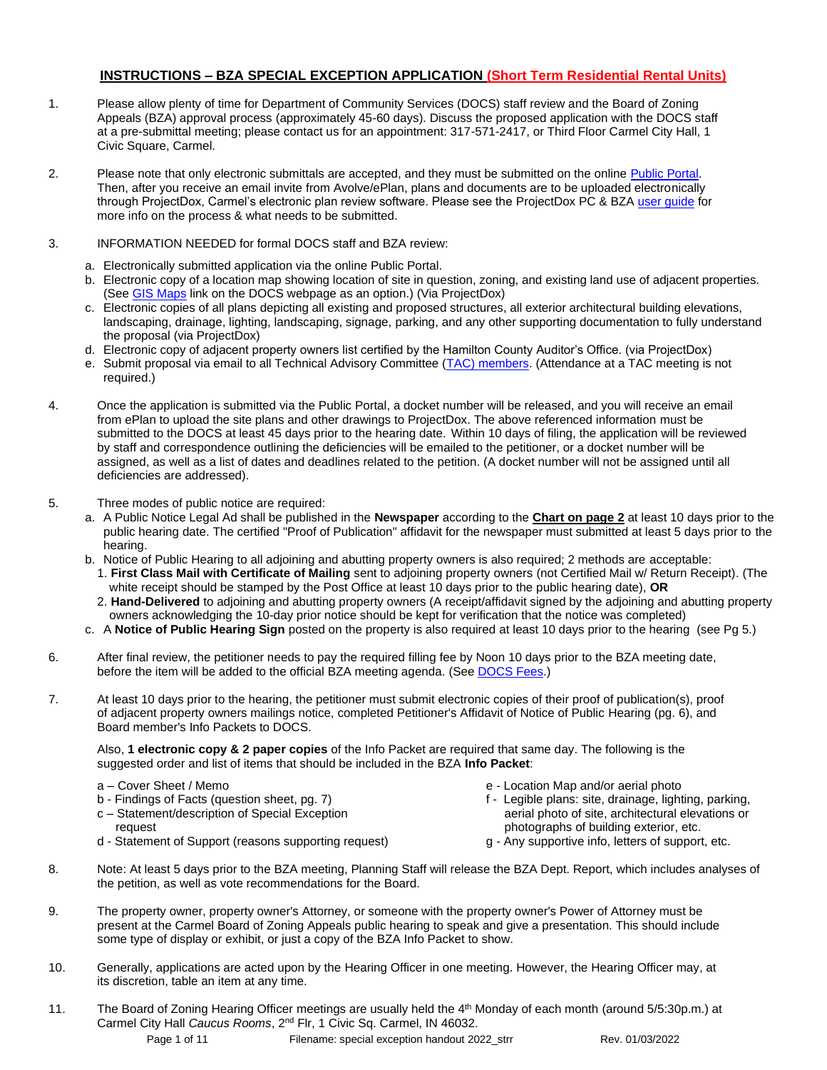### **INSTRUCTIONS – BZA SPECIAL EXCEPTION APPLICATION (Short Term Residential Rental Units)**

- 1. Please allow plenty of time for Department of Community Services (DOCS) staff review and the Board of Zoning Appeals (BZA) approval process (approximately 45-60 days). Discuss the proposed application with the DOCS staff at a pre-submittal meeting; please contact us for an appointment: 317-571-2417, or Third Floor Carmel City Hall, 1 Civic Square, Carmel.
- 2. Please note that only electronic submittals are accepted, and they must be submitted on the onlin[e Public Portal.](https://cw.carmel.in.gov/PublicAccess/template/Login.aspx)  Then, after you receive an email invite from Avolve/ePlan, plans and documents are to be uploaded electronically through ProjectDox, Carmel's electronic plan review software. Please see the ProjectDox PC & BZA user quide for more info on the process & what needs to be submitted.
- 3. INFORMATION NEEDED for formal DOCS staff and BZA review:
	- a. Electronically submitted application via the online Public Portal.
	- b. Electronic copy of a location map showing location of site in question, zoning, and existing land use of adjacent properties. (See [GIS Maps](https://carmelgis.carmel.in.gov/maps/apps/webappviewer/index.html?id=3005d15bb8ee47c48538605fa421a359&extent=-9600433.8691%2C4865462.0861%2C-9599860.5914%2C4865778.5832%2C102100) link on the DOCS webpage as an option.) (Via ProjectDox)
	- c. Electronic copies of all plans depicting all existing and proposed structures, all exterior architectural building elevations, landscaping, drainage, lighting, landscaping, signage, parking, and any other supporting documentation to fully understand the proposal (via ProjectDox)
	- d. Electronic copy of adjacent property owners list certified by the Hamilton County Auditor's Office. (via ProjectDox)
	- e. Submit proposal via email to all Technical Advisory Committee [\(TAC\) members.](http://www.carmel.in.gov/index.aspx?page=567) (Attendance at a TAC meeting is not required.)
- 4. Once the application is submitted via the Public Portal, a docket number will be released, and you will receive an email from ePlan to upload the site plans and other drawings to ProjectDox. The above referenced information must be submitted to the DOCS at least 45 days prior to the hearing date. Within 10 days of filing, the application will be reviewed by staff and correspondence outlining the deficiencies will be emailed to the petitioner, or a docket number will be assigned, as well as a list of dates and deadlines related to the petition. (A docket number will not be assigned until all deficiencies are addressed).
- 5. Three modes of public notice are required:
	- a. A Public Notice Legal Ad shall be published in the **Newspaper** according to the **Chart on page 2** at least 10 days prior to the public hearing date. The certified "Proof of Publication" affidavit for the newspaper must submitted at least 5 days prior to the hearing.
	- b. Notice of Public Hearing to all adjoining and abutting property owners is also required; 2 methods are acceptable:
		- 1. **First Class Mail with Certificate of Mailing** sent to adjoining property owners (not Certified Mail w/ Return Receipt). (The white receipt should be stamped by the Post Office at least 10 days prior to the public hearing date), **OR**
		- 2. **Hand-Delivered** to adjoining and abutting property owners (A receipt/affidavit signed by the adjoining and abutting property owners acknowledging the 10-day prior notice should be kept for verification that the notice was completed)
	- c. A **Notice of Public Hearing Sign** posted on the property is also required at least 10 days prior to the hearing (see Pg 5.)
- 6. After final review, the petitioner needs to pay the required filling fee by Noon 10 days prior to the BZA meeting date, before the item will be added to the official BZA meeting agenda. (Se[e DOCS Fees.](https://www.carmel.in.gov/department-services/community-services-planning-and-zoning-/applications-fees-and-permits))
- 7. At least 10 days prior to the hearing, the petitioner must submit electronic copies of their proof of publication(s), proof of adjacent property owners mailings notice, completed Petitioner's Affidavit of Notice of Public Hearing (pg. 6), and Board member's Info Packets to DOCS.

Also, **1 electronic copy & 2 paper copies** of the Info Packet are required that same day. The following is the suggested order and list of items that should be included in the BZA **Info Packet**:

- a Cover Sheet / Memo
- b Findings of Facts (question sheet, pg. 7)
- c Statement/description of Special Exception
- request d - Statement of Support (reasons supporting request)
- e Location Map and/or aerial photo
- f Legible plans: site, drainage, lighting, parking, aerial photo of site, architectural elevations or photographs of building exterior, etc.
- g Any supportive info, letters of support, etc.
- 8. Note: At least 5 days prior to the BZA meeting, Planning Staff will release the BZA Dept. Report, which includes analyses of the petition, as well as vote recommendations for the Board.
- 9. The property owner, property owner's Attorney, or someone with the property owner's Power of Attorney must be present at the Carmel Board of Zoning Appeals public hearing to speak and give a presentation. This should include some type of display or exhibit, or just a copy of the BZA Info Packet to show.
- 10. Generally, applications are acted upon by the Hearing Officer in one meeting. However, the Hearing Officer may, at its discretion, table an item at any time.
- 11. The Board of Zoning Hearing Officer meetings are usually held the  $4<sup>th</sup>$  Monday of each month (around  $5/5:30$ p.m.) at Carmel City Hall *Caucus Rooms*, 2nd Flr, 1 Civic Sq. Carmel, IN 46032.

Page 1 of 11 Filename: special exception handout 2022\_strr Rev. 01/03/2022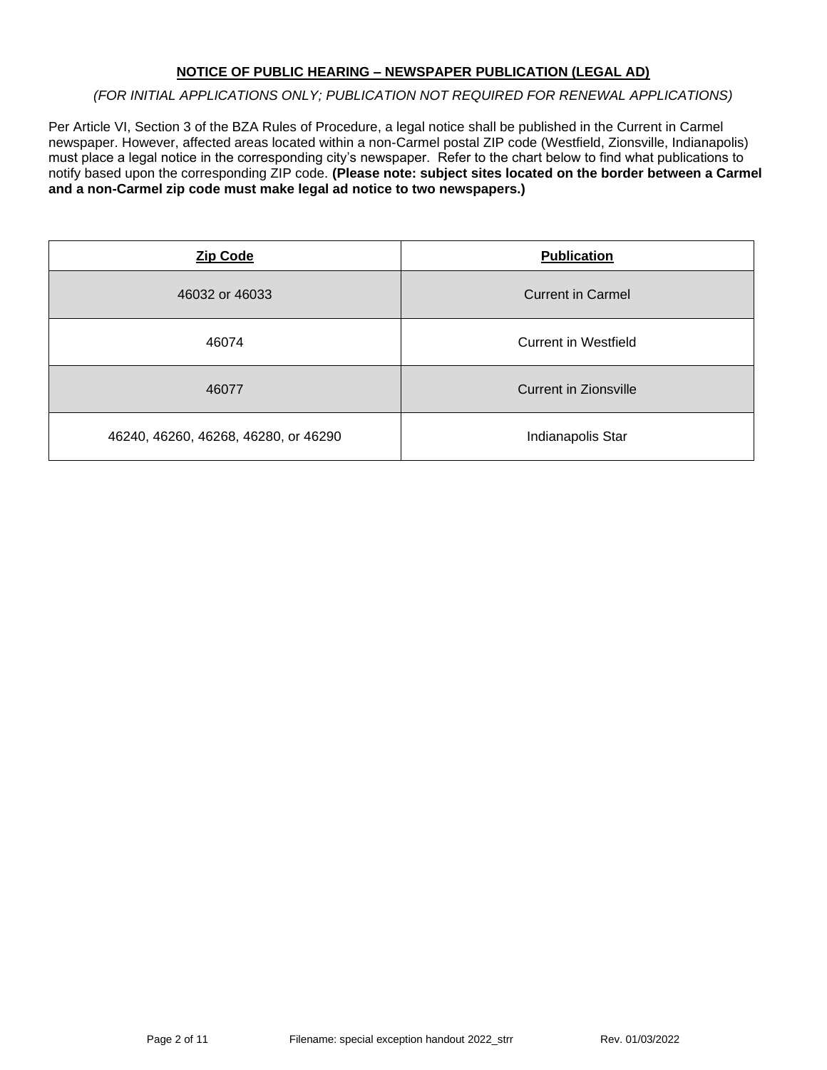## **NOTICE OF PUBLIC HEARING – NEWSPAPER PUBLICATION (LEGAL AD)**

### *(FOR INITIAL APPLICATIONS ONLY; PUBLICATION NOT REQUIRED FOR RENEWAL APPLICATIONS)*

Per Article VI, Section 3 of the BZA Rules of Procedure, a legal notice shall be published in the Current in Carmel newspaper. However, affected areas located within a non-Carmel postal ZIP code (Westfield, Zionsville, Indianapolis) must place a legal notice in the corresponding city's newspaper. Refer to the chart below to find what publications to notify based upon the corresponding ZIP code. **(Please note: subject sites located on the border between a Carmel and a non-Carmel zip code must make legal ad notice to two newspapers.)**

| <b>Zip Code</b>                      | <b>Publication</b>       |
|--------------------------------------|--------------------------|
| 46032 or 46033                       | <b>Current in Carmel</b> |
| 46074                                | Current in Westfield     |
| 46077                                | Current in Zionsville    |
| 46240, 46260, 46268, 46280, or 46290 | Indianapolis Star        |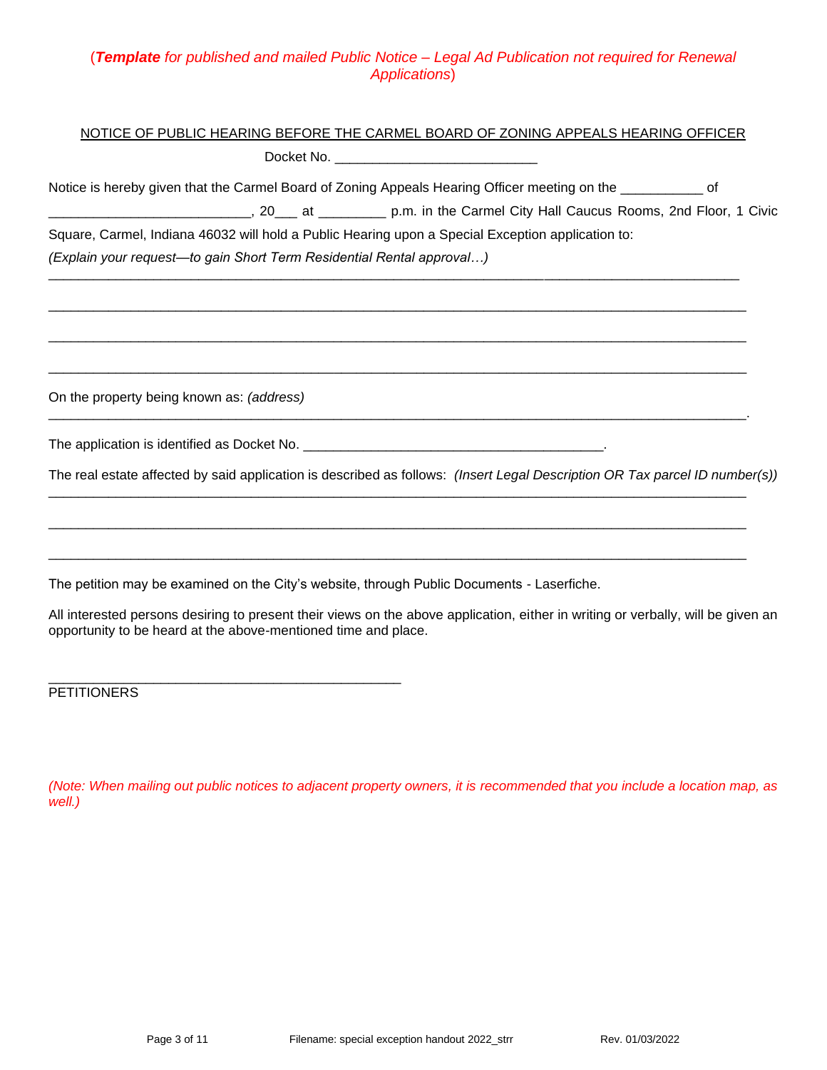## (*Template for published and mailed Public Notice – Legal Ad Publication not required for Renewal Applications*)

## NOTICE OF PUBLIC HEARING BEFORE THE CARMEL BOARD OF ZONING APPEALS HEARING OFFICER

Docket No. \_\_\_\_\_\_\_\_\_\_\_\_\_\_\_\_\_\_\_\_\_\_\_\_\_\_\_

Notice is hereby given that the Carmel Board of Zoning Appeals Hearing Officer meeting on the  $\overline{\phantom{a}}$ 

\_\_\_\_\_\_\_\_\_\_\_\_\_\_\_\_\_\_\_\_\_\_\_\_\_\_\_\_\_\_\_\_\_\_\_\_\_\_\_\_\_\_\_\_\_\_\_\_\_\_\_\_\_\_\_\_\_\_\_\_\_\_\_\_\_\_\_\_\_\_\_\_\_\_\_\_\_\_\_\_\_\_\_\_\_\_\_\_\_\_\_\_\_

 $\Box$ 

\_\_\_\_\_\_\_\_\_\_\_\_\_\_\_\_\_\_\_\_\_\_\_\_\_\_\_\_\_\_\_\_\_\_\_\_\_\_\_\_\_\_\_\_\_\_\_\_\_\_\_\_\_\_\_\_\_\_\_\_\_\_\_\_\_\_\_\_\_\_\_\_\_\_\_\_\_\_\_\_\_\_\_\_\_\_\_\_\_\_\_\_\_

\_\_\_\_\_\_\_\_\_\_\_\_\_\_\_\_\_\_\_\_\_\_\_\_\_\_\_\_\_\_\_\_\_\_\_\_\_\_\_\_\_\_\_\_\_\_\_\_\_\_\_\_\_\_\_\_\_\_\_\_\_\_\_\_\_\_\_\_\_\_\_\_\_\_\_\_\_\_\_\_\_\_\_\_\_\_\_\_\_\_\_\_\_.

 $\Box$ 

 $\Box$ 

\_\_\_\_\_\_\_\_\_\_\_\_\_\_\_\_\_\_\_\_\_\_\_\_\_\_\_\_\_\_\_\_\_\_\_\_\_\_\_\_\_\_\_\_\_\_\_\_\_\_\_\_\_\_\_\_\_\_\_\_\_\_\_\_\_\_\_\_\_\_\_\_\_\_\_\_\_\_\_\_\_\_\_\_\_\_\_\_\_\_\_\_\_

\_\_\_\_\_\_\_\_\_\_\_\_\_\_\_\_\_\_\_\_\_\_\_\_\_\_\_, 20\_\_\_ at \_\_\_\_\_\_\_\_\_ p.m. in the Carmel City Hall Caucus Rooms, 2nd Floor, 1 Civic Square, Carmel, Indiana 46032 will hold a Public Hearing upon a Special Exception application to:

*(Explain your request—to gain Short Term Residential Rental approval…)* \_\_\_\_\_\_\_\_\_\_\_\_\_\_\_\_\_\_\_\_\_\_\_\_\_\_\_\_\_\_\_\_\_\_\_\_\_\_\_\_\_\_\_\_\_\_\_\_\_\_\_\_\_\_\_\_\_\_\_\_\_\_\_\_\_\_\_\_\_\_\_\_\_\_\_\_\_\_\_\_\_\_\_\_\_\_\_\_\_\_\_\_

On the property being known as: *(address)*

The application is identified as Docket No. \_\_\_\_\_\_\_\_\_\_\_\_\_\_\_\_\_\_\_\_\_\_\_\_\_\_\_\_\_\_\_\_\_\_\_\_\_\_\_\_.

\_\_\_\_\_\_\_\_\_\_\_\_\_\_\_\_\_\_\_\_\_\_\_\_\_\_\_\_\_\_\_\_\_\_\_\_\_\_\_\_\_\_\_\_\_\_\_

The real estate affected by said application is described as follows: *(Insert Legal Description OR Tax parcel ID number(s))*

The petition may be examined on the City's website, through Public Documents - Laserfiche.

All interested persons desiring to present their views on the above application, either in writing or verbally, will be given an opportunity to be heard at the above-mentioned time and place.

**PETITIONERS** 

*(Note: When mailing out public notices to adjacent property owners, it is recommended that you include a location map, as well.)*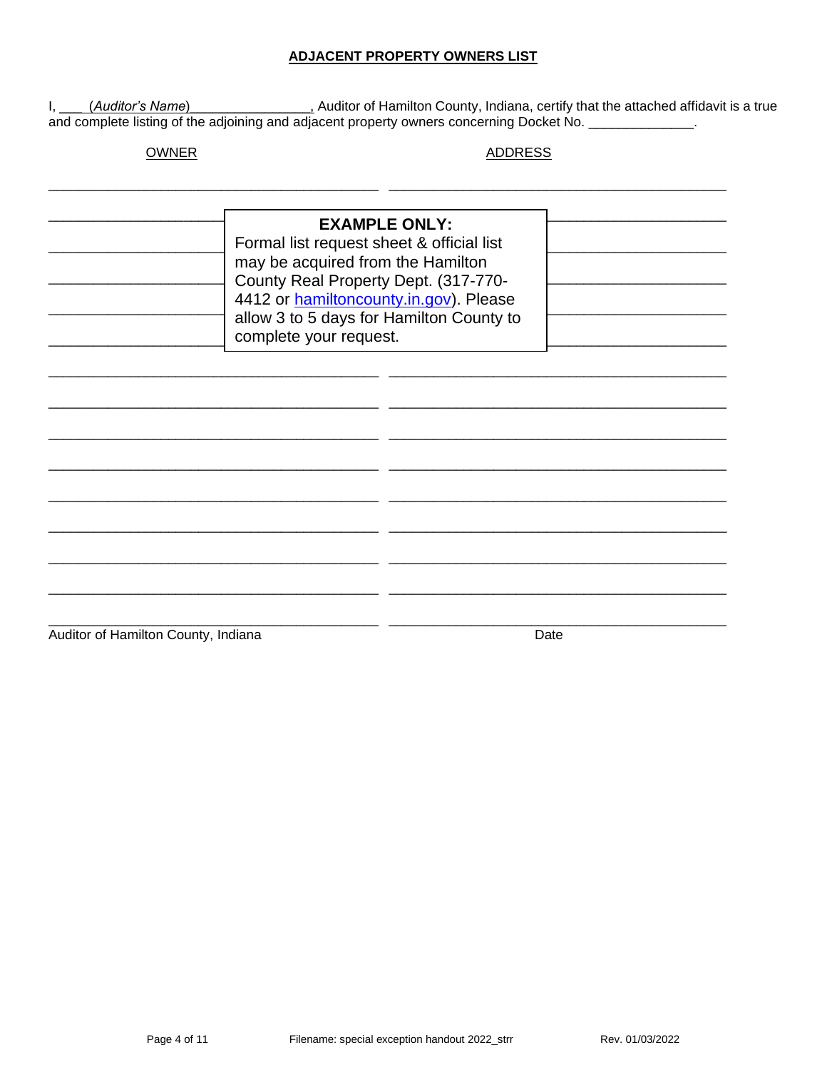### **ADJACENT PROPERTY OWNERS LIST**

I, *(Auditor's Name)* Auditor of Hamilton County, Indiana, certify that the attached affidavit is a true and complete listing of the adjoining and adjacent property owners concerning Docket No.

**OWNER** 

**ADDRESS** 

| <b>EXAMPLE ONLY:</b><br>Formal list request sheet & official list<br>may be acquired from the Hamilton<br>County Real Property Dept. (317-770-<br>4412 or hamiltoncounty.in.gov). Please<br>allow 3 to 5 days for Hamilton County to<br>complete your request. |  |  |
|----------------------------------------------------------------------------------------------------------------------------------------------------------------------------------------------------------------------------------------------------------------|--|--|
|                                                                                                                                                                                                                                                                |  |  |
|                                                                                                                                                                                                                                                                |  |  |

Auditor of Hamilton County, Indiana

Date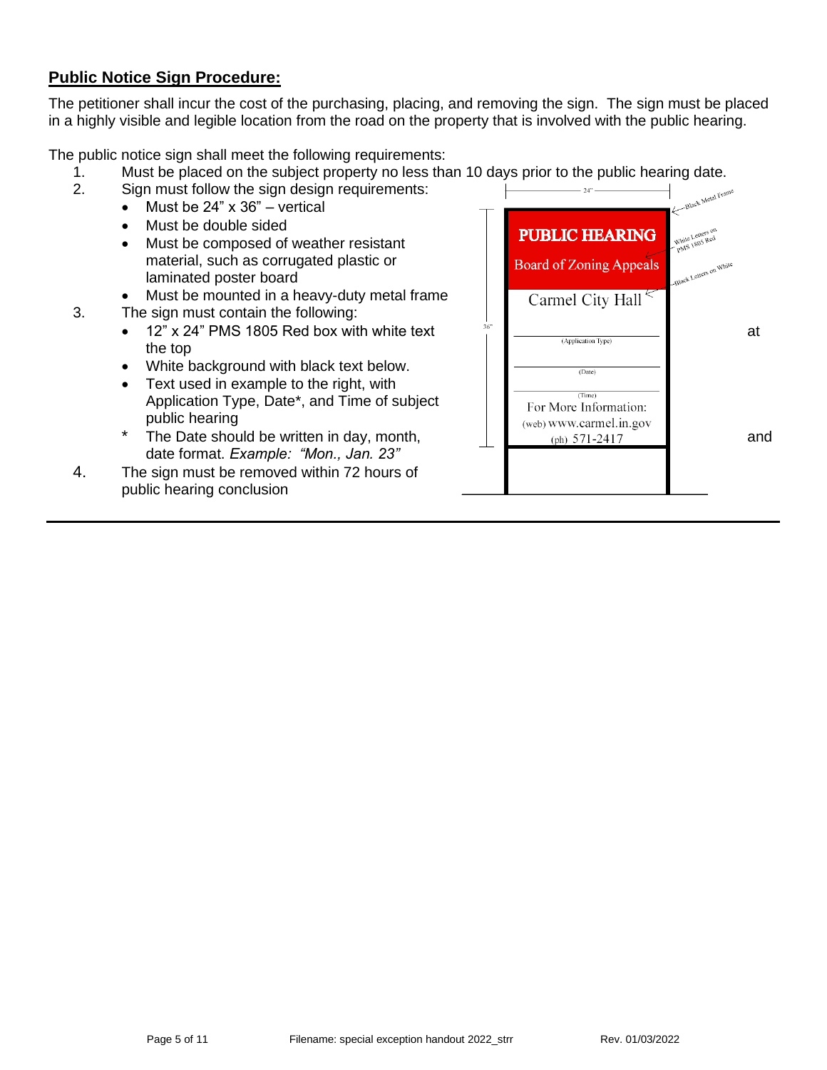# **Public Notice Sign Procedure:**

The petitioner shall incur the cost of the purchasing, placing, and removing the sign. The sign must be placed in a highly visible and legible location from the road on the property that is involved with the public hearing.

The public notice sign shall meet the following requirements:

- 1. Must be placed on the subject property no less than 10 days prior to the public hearing date.<br>2. Sign must follow the sign design requirements:
- Sign must follow the sign design requirements:
	- Must be  $24" \times 36"$  vertical
	- Must be double sided
	- Must be composed of weather resistant material, such as corrugated plastic or laminated poster board
	- Must be mounted in a heavy-duty metal frame
- 3. The sign must contain the following:
	- 12" x 24" PMS 1805 Red box with white text  $\frac{36^{\circ}}{2}$   $\frac{1}{(Application Type)}$  at the top
	- White background with black text below.
	- Text used in example to the right, with Application Type, Date\*, and Time of subject public hearing
	- date format. *Example: "Mon., Jan. 23"*
- 4. The sign must be removed within 72 hours of public hearing conclusion

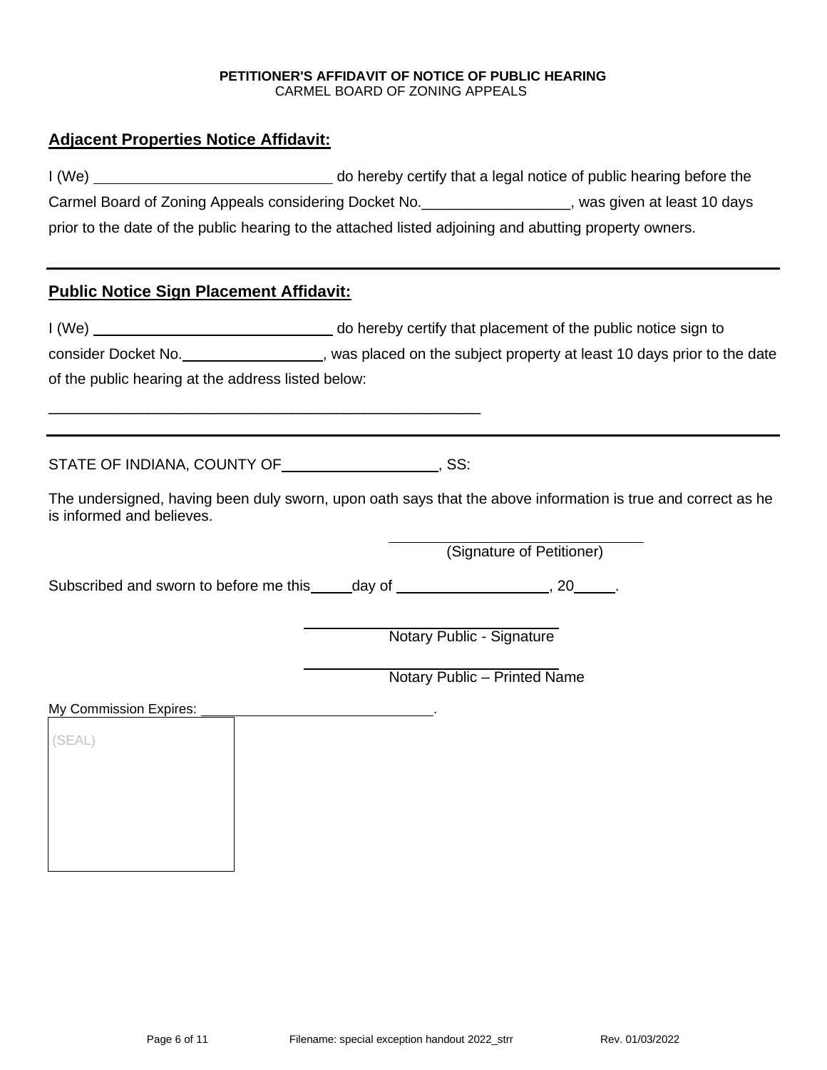#### **PETITIONER'S AFFIDAVIT OF NOTICE OF PUBLIC HEARING** CARMEL BOARD OF ZONING APPEALS

## **Adjacent Properties Notice Affidavit:**

| I(We) | do hereby certify that a legal notice of public hearing before the                                     |                              |
|-------|--------------------------------------------------------------------------------------------------------|------------------------------|
|       | Carmel Board of Zoning Appeals considering Docket No.                                                  | , was given at least 10 days |
|       | prior to the date of the public hearing to the attached listed adjoining and abutting property owners. |                              |

## **Public Notice Sign Placement Affidavit:**

I (We) do hereby certify that placement of the public notice sign to consider Docket No. *CONSIDER 2004* , was placed on the subject property at least 10 days prior to the date of the public hearing at the address listed below:

STATE OF INDIANA, COUNTY OF **COUNTY OF STATE**, SS:

\_\_\_\_\_\_\_\_\_\_\_\_\_\_\_\_\_\_\_\_\_\_\_\_\_\_\_\_\_\_\_\_\_\_\_\_\_\_\_\_\_\_\_\_\_\_\_\_

The undersigned, having been duly sworn, upon oath says that the above information is true and correct as he is informed and believes.

(Signature of Petitioner)

Subscribed and sworn to before me this \_\_\_\_\_day of \_\_\_\_\_\_\_\_\_\_\_\_\_\_\_\_\_\_\_\_\_\_, 20\_\_\_\_\_\_.

Notary Public - Signature

Notary Public – Printed Name

My Commission Expires:

(SEAL)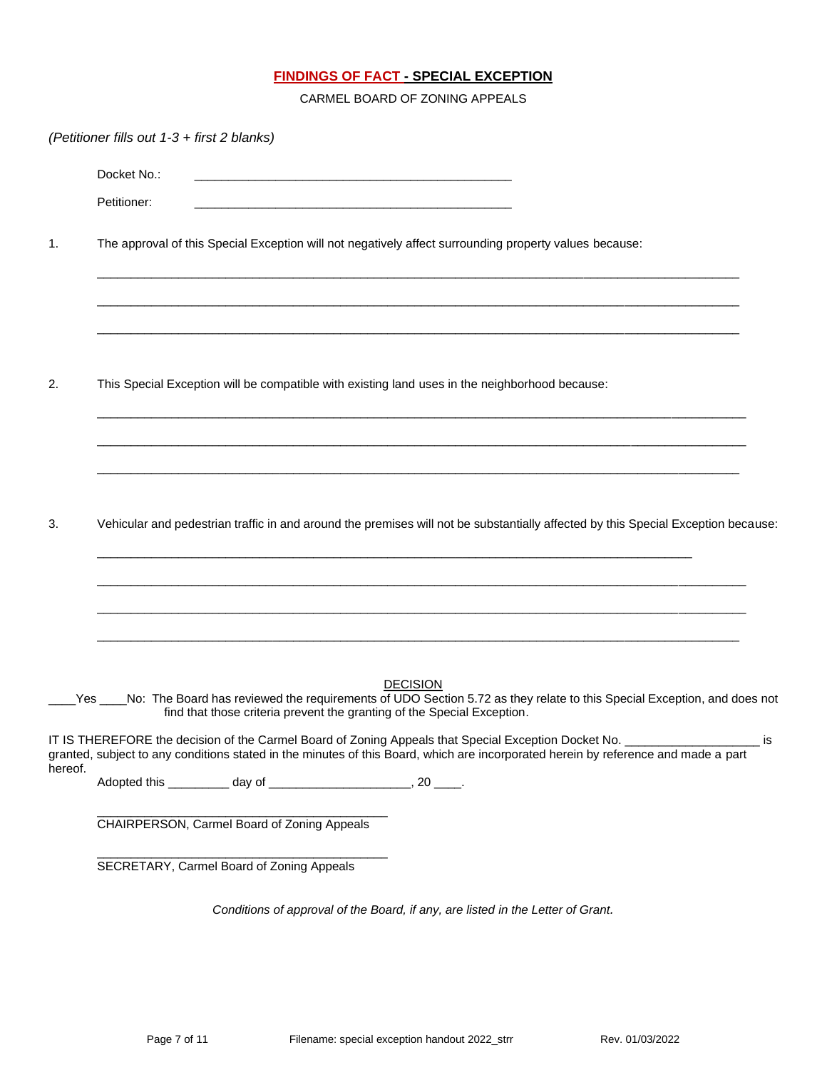## **FINDINGS OF FACT - SPECIAL EXCEPTION**

CARMEL BOARD OF ZONING APPEALS

|         | (Petitioner fills out 1-3 + first 2 blanks)                                                            |                                                                                                                               |                 |                                                                                                                                    |      |
|---------|--------------------------------------------------------------------------------------------------------|-------------------------------------------------------------------------------------------------------------------------------|-----------------|------------------------------------------------------------------------------------------------------------------------------------|------|
|         | Docket No.:                                                                                            | <u> 1989 - Johann Stein, mars an deutscher Stein und der Stein und der Stein und der Stein und der Stein und der</u>          |                 |                                                                                                                                    |      |
|         | Petitioner:                                                                                            | <u> 1989 - Johann John Stone, mars et al. 1989 - John Stone, mars et al. 1989 - John Stone, mars et al. 1989 - John Stone</u> |                 |                                                                                                                                    |      |
| 1.      | The approval of this Special Exception will not negatively affect surrounding property values because: |                                                                                                                               |                 |                                                                                                                                    |      |
|         |                                                                                                        |                                                                                                                               |                 |                                                                                                                                    |      |
| 2.      | This Special Exception will be compatible with existing land uses in the neighborhood because:         |                                                                                                                               |                 |                                                                                                                                    |      |
|         |                                                                                                        |                                                                                                                               |                 |                                                                                                                                    |      |
| 3.      |                                                                                                        |                                                                                                                               |                 | Vehicular and pedestrian traffic in and around the premises will not be substantially affected by this Special Exception because:  |      |
|         |                                                                                                        |                                                                                                                               |                 |                                                                                                                                    |      |
| Yes     |                                                                                                        | find that those criteria prevent the granting of the Special Exception.                                                       | <b>DECISION</b> | No: The Board has reviewed the requirements of UDO Section 5.72 as they relate to this Special Exception, and does not             |      |
| hereof. | IT IS THEREFORE the decision of the Carmel Board of Zoning Appeals that Special Exception Docket No.   |                                                                                                                               |                 | granted, subject to any conditions stated in the minutes of this Board, which are incorporated herein by reference and made a part | _ is |
|         |                                                                                                        |                                                                                                                               |                 |                                                                                                                                    |      |
|         | CHAIRPERSON, Carmel Board of Zoning Appeals                                                            |                                                                                                                               |                 |                                                                                                                                    |      |
|         | SECRETARY, Carmel Board of Zoning Appeals                                                              |                                                                                                                               |                 |                                                                                                                                    |      |
|         |                                                                                                        | Conditions of approval of the Board, if any, are listed in the Letter of Grant.                                               |                 |                                                                                                                                    |      |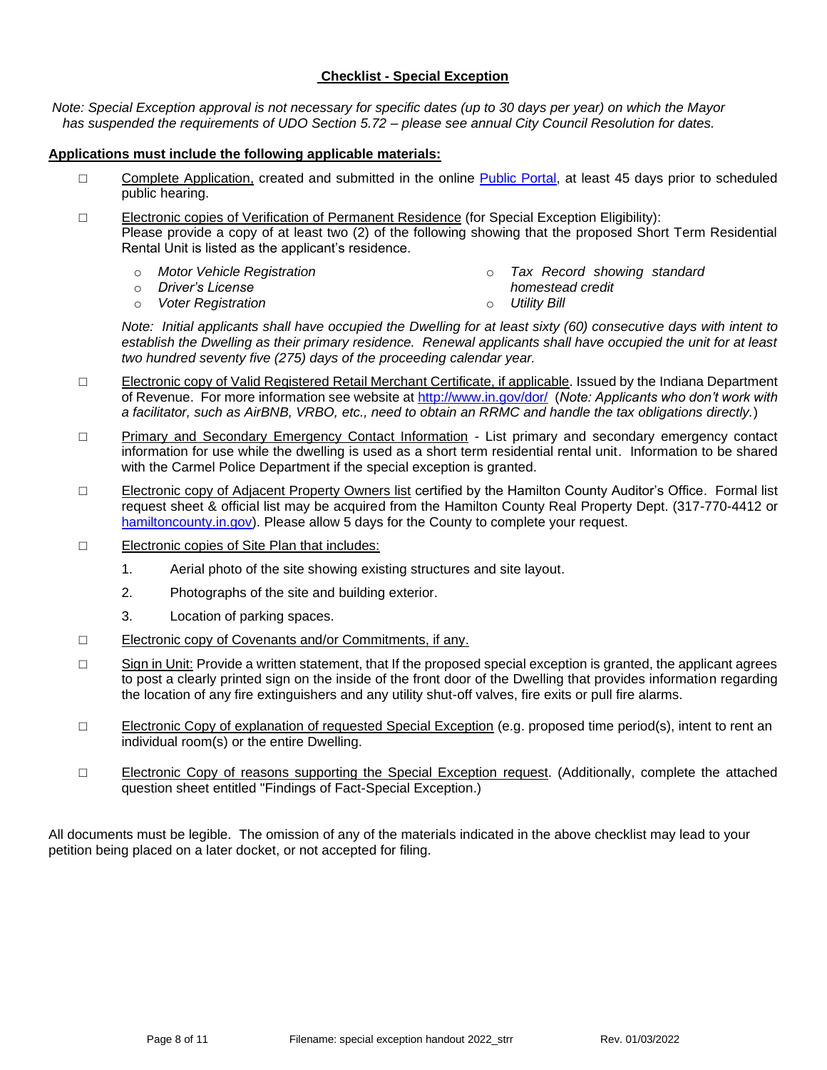## **Checklist - Special Exception**

*Note: Special Exception approval is not necessary for specific dates (up to 30 days per year) on which the Mayor has suspended the requirements of UDO Section 5.72 – please see annual City Council Resolution for dates.*

### **Applications must include the following applicable materials:**

- □ Complete Application, created and submitted in the online [Public Portal,](https://cw.carmel.in.gov/PublicAccess/template/Login.aspx) at least 45 days prior to scheduled public hearing.
- □ Electronic copies of Verification of Permanent Residence (for Special Exception Eligibility): Please provide a copy of at least two (2) of the following showing that the proposed Short Term Residential Rental Unit is listed as the applicant's residence.
	- o *Motor Vehicle Registration*
	- o *Driver's License*

o *Tax Record showing standard* 

o *Voter Registration*

- *homestead credit*
- o *Utility Bill*

*Note: Initial applicants shall have occupied the Dwelling for at least sixty (60) consecutive days with intent to establish the Dwelling as their primary residence. Renewal applicants shall have occupied the unit for at least two hundred seventy five (275) days of the proceeding calendar year.* 

- □ Electronic copy of Valid Registered Retail Merchant Certificate, if applicable. Issued by the Indiana Department of Revenue. For more information see website at<http://www.in.gov/dor/> (*Note: Applicants who don't work with a facilitator, such as AirBNB, VRBO, etc., need to obtain an RRMC and handle the tax obligations directly.*)
- □ Primary and Secondary Emergency Contact Information List primary and secondary emergency contact information for use while the dwelling is used as a short term residential rental unit. Information to be shared with the Carmel Police Department if the special exception is granted.
- □ Electronic copy of Adjacent Property Owners list certified by the Hamilton County Auditor's Office. Formal list request sheet & official list may be acquired from the Hamilton County Real Property Dept. (317-770-4412 or [hamiltoncounty.in.gov\)](https://www.hamiltoncounty.in.gov/369/Adjoiner-Property-Notifications). Please allow 5 days for the County to complete your request.
- □ Electronic copies of Site Plan that includes:
	- 1. Aerial photo of the site showing existing structures and site layout.
	- 2. Photographs of the site and building exterior.
	- 3. Location of parking spaces.
- □ Electronic copy of Covenants and/or Commitments, if any.
- □ Sign in Unit: Provide a written statement, that If the proposed special exception is granted, the applicant agrees to post a clearly printed sign on the inside of the front door of the Dwelling that provides information regarding the location of any fire extinguishers and any utility shut-off valves, fire exits or pull fire alarms.
- □ Electronic Copy of explanation of requested Special Exception (e.g. proposed time period(s), intent to rent an individual room(s) or the entire Dwelling.
- □ Electronic Copy of reasons supporting the Special Exception request. (Additionally, complete the attached question sheet entitled "Findings of Fact-Special Exception.)

All documents must be legible. The omission of any of the materials indicated in the above checklist may lead to your petition being placed on a later docket, or not accepted for filing.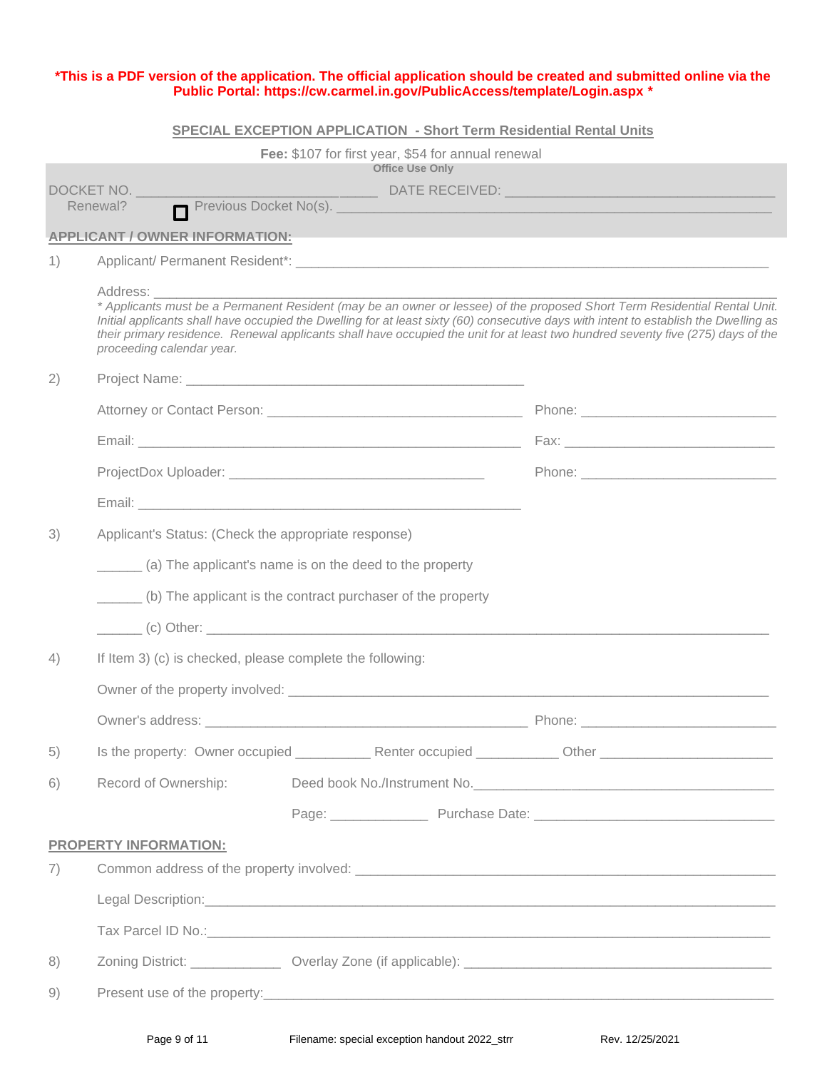#### **\*This is a PDF version of the application. The official application should be created and submitted online via the Public Portal:<https://cw.carmel.in.gov/PublicAccess/template/Login.aspx> \***

#### **SPECIAL EXCEPTION APPLICATION - Short Term Residential Rental Units**

|                                                  |                                                                                                                                                                                                                                | Fee: \$107 for first year, \$54 for annual renewal                                                                                                                                                                            |                                                                                                                                                                                                                                                                                                                                                                                                        |
|--------------------------------------------------|--------------------------------------------------------------------------------------------------------------------------------------------------------------------------------------------------------------------------------|-------------------------------------------------------------------------------------------------------------------------------------------------------------------------------------------------------------------------------|--------------------------------------------------------------------------------------------------------------------------------------------------------------------------------------------------------------------------------------------------------------------------------------------------------------------------------------------------------------------------------------------------------|
|                                                  |                                                                                                                                                                                                                                | <b>Office Use Only</b><br><b>Example 20 DATE RECEIVED: CONTRACT AND RECEIVED:</b>                                                                                                                                             |                                                                                                                                                                                                                                                                                                                                                                                                        |
| DOCKET NO.<br>Previous Docket No(s).<br>Renewal? |                                                                                                                                                                                                                                |                                                                                                                                                                                                                               |                                                                                                                                                                                                                                                                                                                                                                                                        |
|                                                  | <b>APPLICANT / OWNER INFORMATION:</b>                                                                                                                                                                                          |                                                                                                                                                                                                                               |                                                                                                                                                                                                                                                                                                                                                                                                        |
| 1)                                               |                                                                                                                                                                                                                                |                                                                                                                                                                                                                               |                                                                                                                                                                                                                                                                                                                                                                                                        |
|                                                  |                                                                                                                                                                                                                                |                                                                                                                                                                                                                               |                                                                                                                                                                                                                                                                                                                                                                                                        |
|                                                  | proceeding calendar year.                                                                                                                                                                                                      |                                                                                                                                                                                                                               | * Applicants must be a Permanent Resident (may be an owner or lessee) of the proposed Short Term Residential Rental Unit.<br>Initial applicants shall have occupied the Dwelling for at least sixty (60) consecutive days with intent to establish the Dwelling as<br>their primary residence. Renewal applicants shall have occupied the unit for at least two hundred seventy five (275) days of the |
| 2)                                               |                                                                                                                                                                                                                                |                                                                                                                                                                                                                               |                                                                                                                                                                                                                                                                                                                                                                                                        |
|                                                  |                                                                                                                                                                                                                                |                                                                                                                                                                                                                               |                                                                                                                                                                                                                                                                                                                                                                                                        |
|                                                  |                                                                                                                                                                                                                                |                                                                                                                                                                                                                               |                                                                                                                                                                                                                                                                                                                                                                                                        |
|                                                  |                                                                                                                                                                                                                                |                                                                                                                                                                                                                               |                                                                                                                                                                                                                                                                                                                                                                                                        |
|                                                  | Email: North American Communication of the Communication of the Communication of the Communication of the Communication of the Communication of the Communication of the Communication of the Communication of the Communicati |                                                                                                                                                                                                                               |                                                                                                                                                                                                                                                                                                                                                                                                        |
| 3)                                               | Applicant's Status: (Check the appropriate response)                                                                                                                                                                           |                                                                                                                                                                                                                               |                                                                                                                                                                                                                                                                                                                                                                                                        |
|                                                  |                                                                                                                                                                                                                                | (a) The applicant's name is on the deed to the property                                                                                                                                                                       |                                                                                                                                                                                                                                                                                                                                                                                                        |
|                                                  |                                                                                                                                                                                                                                | (b) The applicant is the contract purchaser of the property                                                                                                                                                                   |                                                                                                                                                                                                                                                                                                                                                                                                        |
|                                                  |                                                                                                                                                                                                                                | $(c)$ Other: $\qquad \qquad$                                                                                                                                                                                                  |                                                                                                                                                                                                                                                                                                                                                                                                        |
| 4)                                               | If Item 3) (c) is checked, please complete the following:                                                                                                                                                                      |                                                                                                                                                                                                                               |                                                                                                                                                                                                                                                                                                                                                                                                        |
|                                                  |                                                                                                                                                                                                                                |                                                                                                                                                                                                                               |                                                                                                                                                                                                                                                                                                                                                                                                        |
|                                                  |                                                                                                                                                                                                                                |                                                                                                                                                                                                                               |                                                                                                                                                                                                                                                                                                                                                                                                        |
| 5)                                               |                                                                                                                                                                                                                                |                                                                                                                                                                                                                               |                                                                                                                                                                                                                                                                                                                                                                                                        |
| 6)                                               | Record of Ownership:                                                                                                                                                                                                           |                                                                                                                                                                                                                               |                                                                                                                                                                                                                                                                                                                                                                                                        |
|                                                  |                                                                                                                                                                                                                                |                                                                                                                                                                                                                               |                                                                                                                                                                                                                                                                                                                                                                                                        |
|                                                  | <b>PROPERTY INFORMATION:</b>                                                                                                                                                                                                   |                                                                                                                                                                                                                               |                                                                                                                                                                                                                                                                                                                                                                                                        |
| 7)                                               |                                                                                                                                                                                                                                |                                                                                                                                                                                                                               |                                                                                                                                                                                                                                                                                                                                                                                                        |
|                                                  |                                                                                                                                                                                                                                |                                                                                                                                                                                                                               |                                                                                                                                                                                                                                                                                                                                                                                                        |
|                                                  |                                                                                                                                                                                                                                | Tax Parcel ID No.: example of the contract of the contract of the contract of the contract of the contract of the contract of the contract of the contract of the contract of the contract of the contract of the contract of |                                                                                                                                                                                                                                                                                                                                                                                                        |
| 8)                                               |                                                                                                                                                                                                                                |                                                                                                                                                                                                                               |                                                                                                                                                                                                                                                                                                                                                                                                        |
| 9)                                               |                                                                                                                                                                                                                                |                                                                                                                                                                                                                               |                                                                                                                                                                                                                                                                                                                                                                                                        |
|                                                  |                                                                                                                                                                                                                                |                                                                                                                                                                                                                               |                                                                                                                                                                                                                                                                                                                                                                                                        |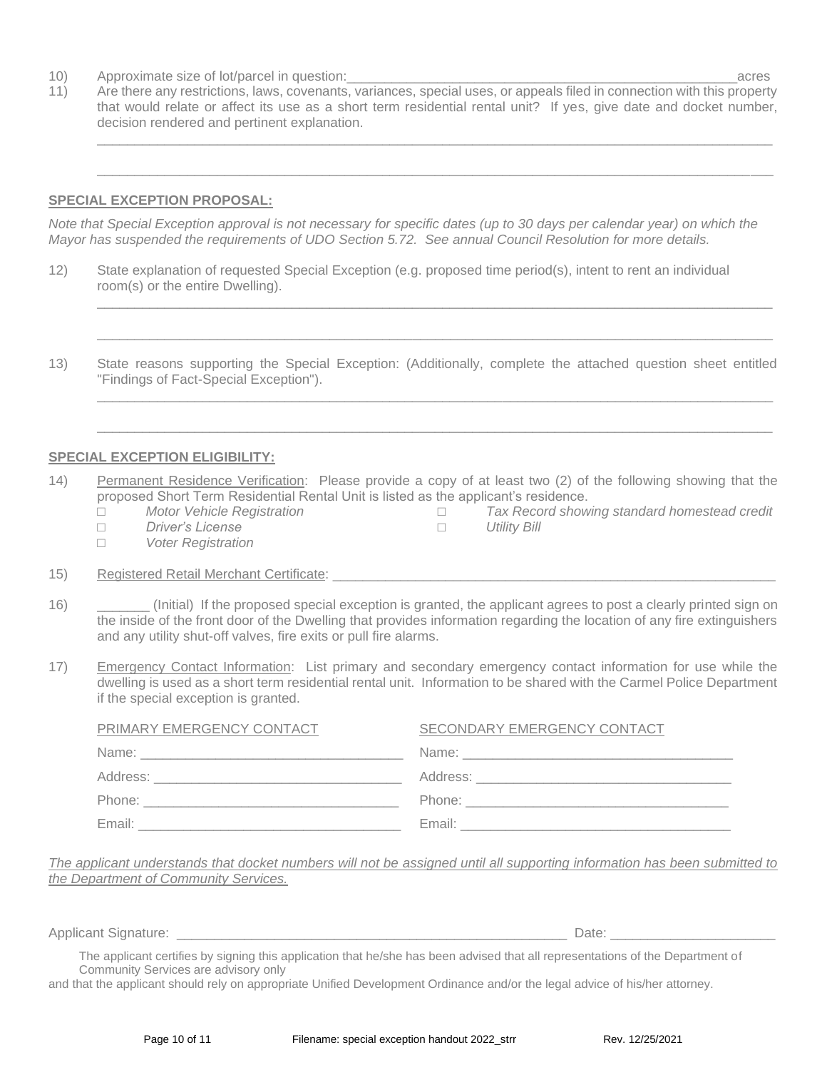- 10) Approximate size of lot/parcel in question:\_\_\_\_\_\_\_\_\_\_\_\_\_\_\_\_\_\_\_\_\_\_\_\_\_\_\_\_\_\_\_\_\_\_\_\_\_\_\_\_\_\_\_\_\_\_\_\_\_\_\_\_acres
- 11) Are there any restrictions, laws, covenants, variances, special uses, or appeals filed in connection with this property that would relate or affect its use as a short term residential rental unit? If yes, give date and docket number, decision rendered and pertinent explanation.

\_\_\_\_\_\_\_\_\_\_\_\_\_\_\_\_\_\_\_\_\_\_\_\_\_\_\_\_\_\_\_\_\_\_\_\_\_\_\_\_\_\_\_\_\_\_\_\_\_\_\_\_\_\_\_\_\_\_\_\_\_\_\_\_\_\_\_\_\_\_\_\_\_\_\_\_\_\_\_\_\_\_\_\_\_\_\_\_\_\_

 $\Box$  . The contribution of the contribution of the contribution of the contribution of the contribution of the contribution of the contribution of the contribution of the contribution of the contribution of the contributi

\_\_\_\_\_\_\_\_\_\_\_\_\_\_\_\_\_\_\_\_\_\_\_\_\_\_\_\_\_\_\_\_\_\_\_\_\_\_\_\_\_\_\_\_\_\_\_\_\_\_\_\_\_\_\_\_\_\_\_\_\_\_\_\_\_\_\_\_\_\_\_\_\_\_\_\_\_\_\_\_\_\_\_\_\_\_\_\_\_\_

 $\Box$  . The contribution of the contribution of the contribution of the contribution of the contribution of the contribution of the contribution of the contribution of the contribution of the contribution of the contributi

\_\_\_\_\_\_\_\_\_\_\_\_\_\_\_\_\_\_\_\_\_\_\_\_\_\_\_\_\_\_\_\_\_\_\_\_\_\_\_\_\_\_\_\_\_\_\_\_\_\_\_\_\_\_\_\_\_\_\_\_\_\_\_\_\_\_\_\_\_\_\_\_\_\_\_\_\_\_\_\_\_\_\_\_\_\_\_\_\_\_

 $\Box$  . The contribution of the contribution of the contribution of the contribution of the contribution of the contribution of the contribution of the contribution of the contribution of the contribution of the contributi

### **SPECIAL EXCEPTION PROPOSAL:**

*Note that Special Exception approval is not necessary for specific dates (up to 30 days per calendar year) on which the Mayor has suspended the requirements of UDO Section 5.72. See annual Council Resolution for more details.* 

- 12) State explanation of requested Special Exception (e.g. proposed time period(s), intent to rent an individual room(s) or the entire Dwelling).
- 13) State reasons supporting the Special Exception: (Additionally, complete the attached question sheet entitled "Findings of Fact-Special Exception").

### **SPECIAL EXCEPTION ELIGIBILITY:**

- 14) Permanent Residence Verification: Please provide a copy of at least two (2) of the following showing that the proposed Short Term Residential Rental Unit is listed as the applicant's residence.
	- □ *Motor Vehicle Registration*
		- □ *Driver's License*
		- □ *Voter Registration*

□ *Tax Record showing standard homestead credit* □ *Utility Bill*

- 15) Registered Retail Merchant Certificate:
- 16) \_\_\_\_\_\_\_ (Initial) If the proposed special exception is granted, the applicant agrees to post a clearly printed sign on the inside of the front door of the Dwelling that provides information regarding the location of any fire extinguishers and any utility shut-off valves, fire exits or pull fire alarms.
- 17) Emergency Contact Information: List primary and secondary emergency contact information for use while the dwelling is used as a short term residential rental unit. Information to be shared with the Carmel Police Department if the special exception is granted.

| PRIMARY EMERGENCY CONTACT | SECONDARY EMERGENCY CONTACT                                                                                                                                                                                                    |
|---------------------------|--------------------------------------------------------------------------------------------------------------------------------------------------------------------------------------------------------------------------------|
| Name:                     | Name:                                                                                                                                                                                                                          |
| Address:                  | Address: 2008. 2009. 2009. 2009. 2012. 2013. 2014. 2015. 2016. 2017. 2018. 2019. 2017. 2018. 2019. 2017. 2017.                                                                                                                 |
| Phone:                    | Phone: the contract of the contract of the contract of the contract of the contract of the contract of the contract of the contract of the contract of the contract of the contract of the contract of the contract of the con |
| Email:                    | Email:                                                                                                                                                                                                                         |

*The applicant understands that docket numbers will not be assigned until all supporting information has been submitted to the Department of Community Services.*

Applicant Signature: \_\_\_\_\_\_\_\_\_\_\_\_\_\_\_\_\_\_\_\_\_\_\_\_\_\_\_\_\_\_\_\_\_\_\_\_\_\_\_\_\_\_\_\_\_\_\_\_\_\_\_\_ Date: \_\_\_\_\_\_\_\_\_\_\_\_\_\_\_\_\_\_\_\_\_\_

The applicant certifies by signing this application that he/she has been advised that all representations of the Department of Community Services are advisory only

and that the applicant should rely on appropriate Unified Development Ordinance and/or the legal advice of his/her attorney.